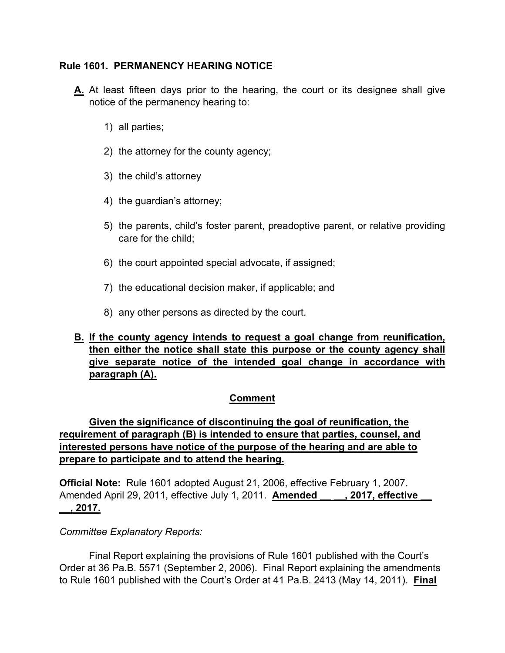### **Rule 1601. PERMANENCY HEARING NOTICE**

- **A.** At least fifteen days prior to the hearing, the court or its designee shall give notice of the permanency hearing to:
	- 1) all parties;
	- 2) the attorney for the county agency;
	- 3) the child's attorney
	- 4) the guardian's attorney;
	- 5) the parents, child's foster parent, preadoptive parent, or relative providing care for the child;
	- 6) the court appointed special advocate, if assigned;
	- 7) the educational decision maker, if applicable; and
	- 8) any other persons as directed by the court.

## **B. If the county agency intends to request a goal change from reunification, then either the notice shall state this purpose or the county agency shall give separate notice of the intended goal change in accordance with paragraph (A).**

## **Comment**

# **Given the significance of discontinuing the goal of reunification, the requirement of paragraph (B) is intended to ensure that parties, counsel, and interested persons have notice of the purpose of the hearing and are able to prepare to participate and to attend the hearing.**

**Official Note:** Rule 1601 adopted August 21, 2006, effective February 1, 2007. Amended April 29, 2011, effective July 1, 2011. **Amended [4], 2017, effective \_\_, 2017.**

#### *Committee Explanatory Reports:*

Final Report explaining the provisions of Rule 1601 published with the Court's Order at 36 Pa.B. 5571 (September 2, 2006). Final Report explaining the amendments to Rule 1601 published with the Court's Order at 41 Pa.B. 2413 (May 14, 2011). **Final**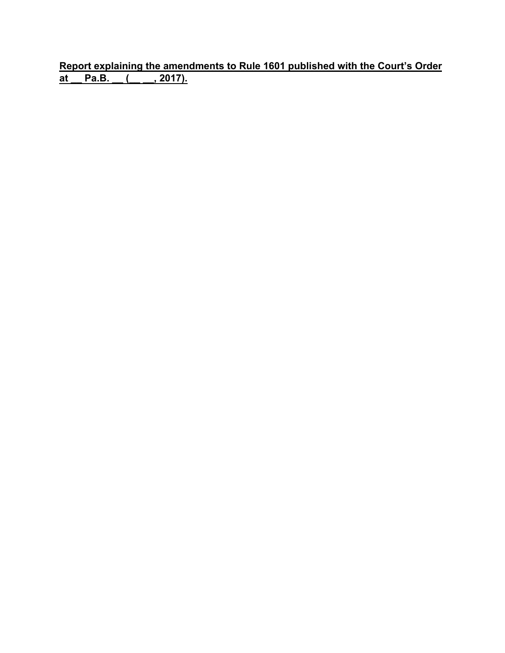**Report explaining the amendments to Rule 1601 published with the Court's Order at \_\_ Pa.B. \_\_ (\_\_ \_\_, 2017).**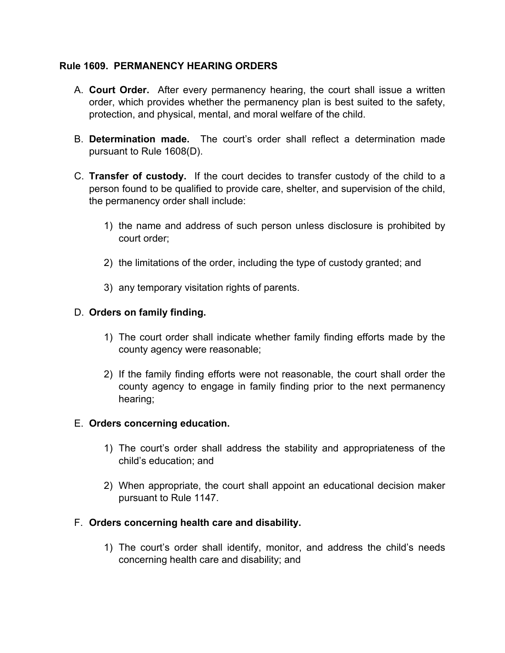### **Rule 1609. PERMANENCY HEARING ORDERS**

- A. **Court Order.** After every permanency hearing, the court shall issue a written order, which provides whether the permanency plan is best suited to the safety, protection, and physical, mental, and moral welfare of the child.
- B. **Determination made.** The court's order shall reflect a determination made pursuant to Rule 1608(D).
- C. **Transfer of custody.** If the court decides to transfer custody of the child to a person found to be qualified to provide care, shelter, and supervision of the child, the permanency order shall include:
	- 1) the name and address of such person unless disclosure is prohibited by court order;
	- 2) the limitations of the order, including the type of custody granted; and
	- 3) any temporary visitation rights of parents.

## D. **Orders on family finding.**

- 1) The court order shall indicate whether family finding efforts made by the county agency were reasonable;
- 2) If the family finding efforts were not reasonable, the court shall order the county agency to engage in family finding prior to the next permanency hearing;

#### E. **Orders concerning education.**

- 1) The court's order shall address the stability and appropriateness of the child's education; and
- 2) When appropriate, the court shall appoint an educational decision maker pursuant to Rule 1147.

## F. **Orders concerning health care and disability.**

1) The court's order shall identify, monitor, and address the child's needs concerning health care and disability; and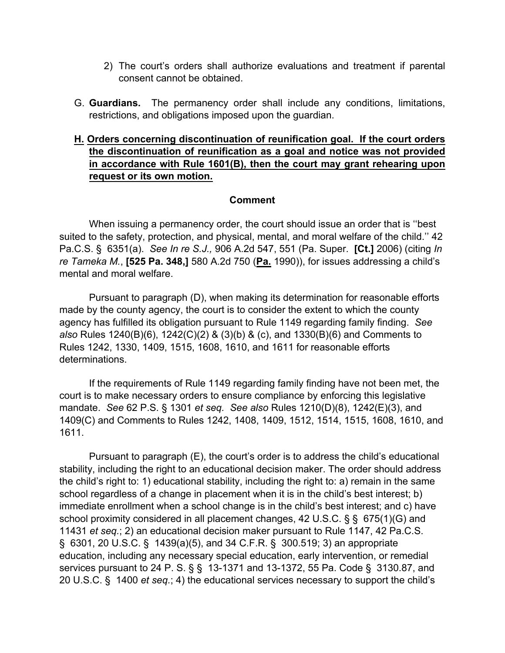- 2) The court's orders shall authorize evaluations and treatment if parental consent cannot be obtained.
- G. **Guardians.** The permanency order shall include any conditions, limitations, restrictions, and obligations imposed upon the guardian.

# **H. Orders concerning discontinuation of reunification goal. If the court orders the discontinuation of reunification as a goal and notice was not provided in accordance with Rule 1601(B), then the court may grant rehearing upon request or its own motion.**

#### **Comment**

 When issuing a permanency order, the court should issue an order that is ''best suited to the safety, protection, and physical, mental, and moral welfare of the child.'' 42 Pa.C.S. § 6351(a). *See In re S.J.,* 906 A.2d 547, 551 (Pa. Super. **[Ct.]** 2006) (citing *In re Tameka M.*, **[525 Pa. 348,]** 580 A.2d 750 (**Pa.** 1990)), for issues addressing a child's mental and moral welfare.

 Pursuant to paragraph (D), when making its determination for reasonable efforts made by the county agency, the court is to consider the extent to which the county agency has fulfilled its obligation pursuant to Rule 1149 regarding family finding. *See also* Rules 1240(B)(6), 1242(C)(2) & (3)(b) & (c), and 1330(B)(6) and Comments to Rules 1242, 1330, 1409, 1515, 1608, 1610, and 1611 for reasonable efforts determinations.

 If the requirements of Rule 1149 regarding family finding have not been met, the court is to make necessary orders to ensure compliance by enforcing this legislative mandate. *See* 62 P.S. § 1301 *et seq. See also* Rules 1210(D)(8), 1242(E)(3), and 1409(C) and Comments to Rules 1242, 1408, 1409, 1512, 1514, 1515, 1608, 1610, and 1611.

 Pursuant to paragraph (E), the court's order is to address the child's educational stability, including the right to an educational decision maker. The order should address the child's right to: 1) educational stability, including the right to: a) remain in the same school regardless of a change in placement when it is in the child's best interest; b) immediate enrollment when a school change is in the child's best interest; and c) have school proximity considered in all placement changes, 42 U.S.C. § § 675(1)(G) and 11431 *et seq.*; 2) an educational decision maker pursuant to Rule 1147, 42 Pa.C.S. § 6301, 20 U.S.C. § 1439(a)(5), and 34 C.F.R. § 300.519; 3) an appropriate education, including any necessary special education, early intervention, or remedial services pursuant to 24 P. S. § § 13-1371 and 13-1372, 55 Pa. Code § 3130.87, and 20 U.S.C. § 1400 *et seq.*; 4) the educational services necessary to support the child's